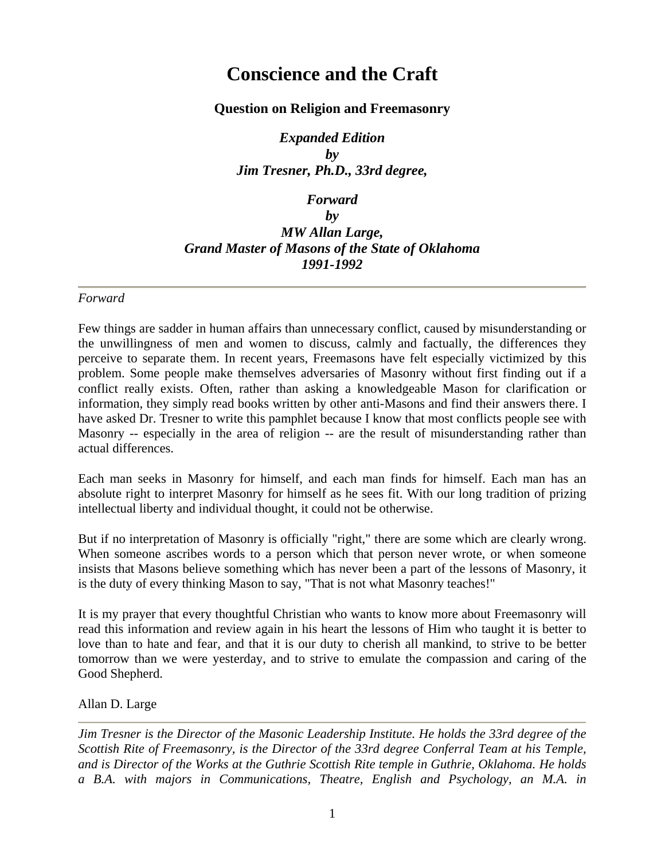# **Conscience and the Craft**

## **Question on Religion and Freemasonry**

*Expanded Edition by Jim Tresner, Ph.D., 33rd degree,* 

# *Forward by MW Allan Large, Grand Master of Masons of the State of Oklahoma 1991-1992*

#### *Forward*

Few things are sadder in human affairs than unnecessary conflict, caused by misunderstanding or the unwillingness of men and women to discuss, calmly and factually, the differences they perceive to separate them. In recent years, Freemasons have felt especially victimized by this problem. Some people make themselves adversaries of Masonry without first finding out if a conflict really exists. Often, rather than asking a knowledgeable Mason for clarification or information, they simply read books written by other anti-Masons and find their answers there. I have asked Dr. Tresner to write this pamphlet because I know that most conflicts people see with Masonry -- especially in the area of religion -- are the result of misunderstanding rather than actual differences.

Each man seeks in Masonry for himself, and each man finds for himself. Each man has an absolute right to interpret Masonry for himself as he sees fit. With our long tradition of prizing intellectual liberty and individual thought, it could not be otherwise.

But if no interpretation of Masonry is officially "right," there are some which are clearly wrong. When someone ascribes words to a person which that person never wrote, or when someone insists that Masons believe something which has never been a part of the lessons of Masonry, it is the duty of every thinking Mason to say, "That is not what Masonry teaches!"

It is my prayer that every thoughtful Christian who wants to know more about Freemasonry will read this information and review again in his heart the lessons of Him who taught it is better to love than to hate and fear, and that it is our duty to cherish all mankind, to strive to be better tomorrow than we were yesterday, and to strive to emulate the compassion and caring of the Good Shepherd.

Allan D. Large

*Jim Tresner is the Director of the Masonic Leadership Institute. He holds the 33rd degree of the Scottish Rite of Freemasonry, is the Director of the 33rd degree Conferral Team at his Temple, and is Director of the Works at the Guthrie Scottish Rite temple in Guthrie, Oklahoma. He holds a B.A. with majors in Communications, Theatre, English and Psychology, an M.A. in*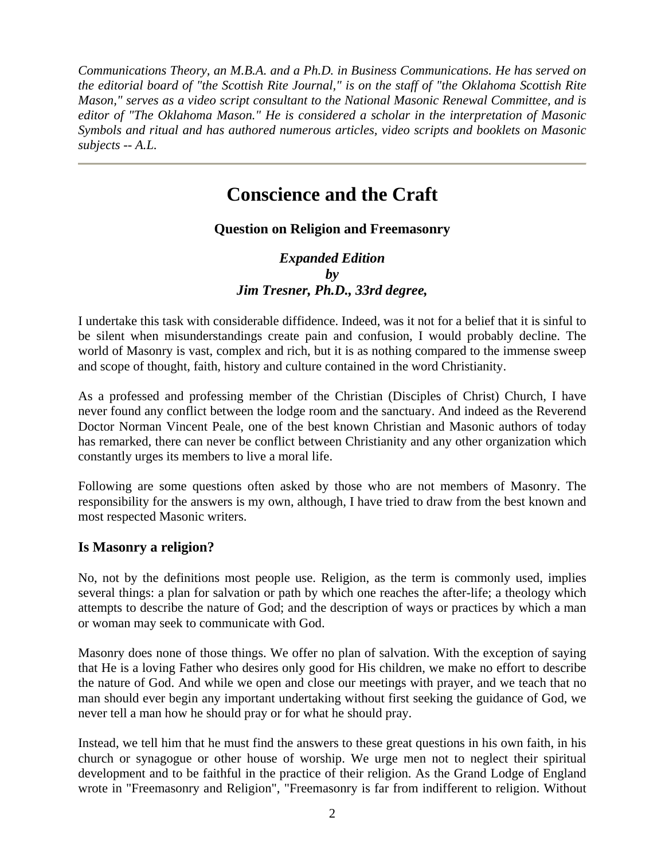*Communications Theory, an M.B.A. and a Ph.D. in Business Communications. He has served on the editorial board of "the Scottish Rite Journal," is on the staff of "the Oklahoma Scottish Rite Mason," serves as a video script consultant to the National Masonic Renewal Committee, and is editor of "The Oklahoma Mason." He is considered a scholar in the interpretation of Masonic Symbols and ritual and has authored numerous articles, video scripts and booklets on Masonic subjects -- A.L.* 

# **Conscience and the Craft**

# **Question on Religion and Freemasonry**

*Expanded Edition by Jim Tresner, Ph.D., 33rd degree,* 

I undertake this task with considerable diffidence. Indeed, was it not for a belief that it is sinful to be silent when misunderstandings create pain and confusion, I would probably decline. The world of Masonry is vast, complex and rich, but it is as nothing compared to the immense sweep and scope of thought, faith, history and culture contained in the word Christianity.

As a professed and professing member of the Christian (Disciples of Christ) Church, I have never found any conflict between the lodge room and the sanctuary. And indeed as the Reverend Doctor Norman Vincent Peale, one of the best known Christian and Masonic authors of today has remarked, there can never be conflict between Christianity and any other organization which constantly urges its members to live a moral life.

Following are some questions often asked by those who are not members of Masonry. The responsibility for the answers is my own, although, I have tried to draw from the best known and most respected Masonic writers.

#### **Is Masonry a religion?**

No, not by the definitions most people use. Religion, as the term is commonly used, implies several things: a plan for salvation or path by which one reaches the after-life; a theology which attempts to describe the nature of God; and the description of ways or practices by which a man or woman may seek to communicate with God.

Masonry does none of those things. We offer no plan of salvation. With the exception of saying that He is a loving Father who desires only good for His children, we make no effort to describe the nature of God. And while we open and close our meetings with prayer, and we teach that no man should ever begin any important undertaking without first seeking the guidance of God, we never tell a man how he should pray or for what he should pray.

Instead, we tell him that he must find the answers to these great questions in his own faith, in his church or synagogue or other house of worship. We urge men not to neglect their spiritual development and to be faithful in the practice of their religion. As the Grand Lodge of England wrote in "Freemasonry and Religion", "Freemasonry is far from indifferent to religion. Without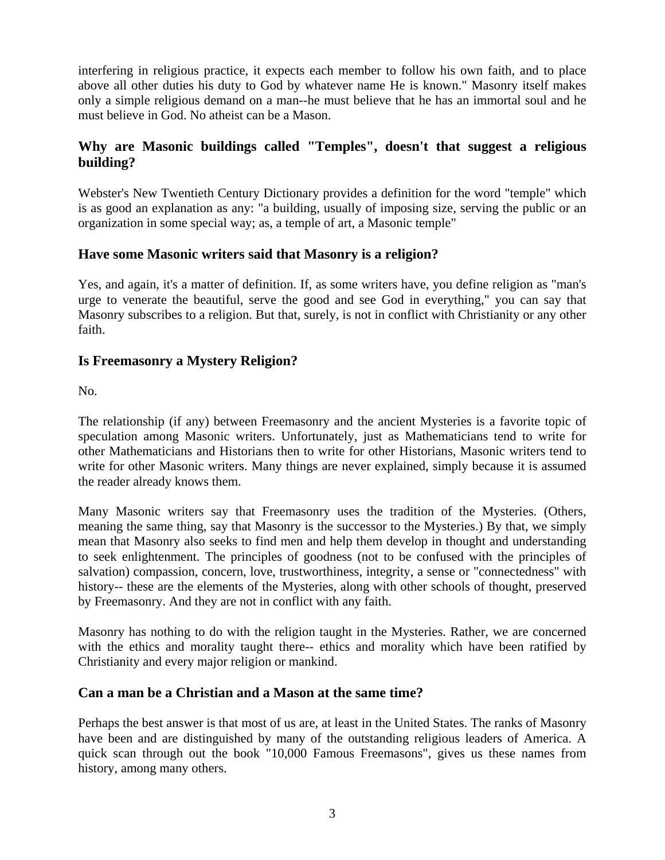interfering in religious practice, it expects each member to follow his own faith, and to place above all other duties his duty to God by whatever name He is known." Masonry itself makes only a simple religious demand on a man--he must believe that he has an immortal soul and he must believe in God. No atheist can be a Mason.

# **Why are Masonic buildings called "Temples", doesn't that suggest a religious building?**

Webster's New Twentieth Century Dictionary provides a definition for the word "temple" which is as good an explanation as any: "a building, usually of imposing size, serving the public or an organization in some special way; as, a temple of art, a Masonic temple"

## **Have some Masonic writers said that Masonry is a religion?**

Yes, and again, it's a matter of definition. If, as some writers have, you define religion as "man's urge to venerate the beautiful, serve the good and see God in everything," you can say that Masonry subscribes to a religion. But that, surely, is not in conflict with Christianity or any other faith.

## **Is Freemasonry a Mystery Religion?**

No.

The relationship (if any) between Freemasonry and the ancient Mysteries is a favorite topic of speculation among Masonic writers. Unfortunately, just as Mathematicians tend to write for other Mathematicians and Historians then to write for other Historians, Masonic writers tend to write for other Masonic writers. Many things are never explained, simply because it is assumed the reader already knows them.

Many Masonic writers say that Freemasonry uses the tradition of the Mysteries. (Others, meaning the same thing, say that Masonry is the successor to the Mysteries.) By that, we simply mean that Masonry also seeks to find men and help them develop in thought and understanding to seek enlightenment. The principles of goodness (not to be confused with the principles of salvation) compassion, concern, love, trustworthiness, integrity, a sense or "connectedness" with history-- these are the elements of the Mysteries, along with other schools of thought, preserved by Freemasonry. And they are not in conflict with any faith.

Masonry has nothing to do with the religion taught in the Mysteries. Rather, we are concerned with the ethics and morality taught there-- ethics and morality which have been ratified by Christianity and every major religion or mankind.

#### **Can a man be a Christian and a Mason at the same time?**

Perhaps the best answer is that most of us are, at least in the United States. The ranks of Masonry have been and are distinguished by many of the outstanding religious leaders of America. A quick scan through out the book "10,000 Famous Freemasons", gives us these names from history, among many others.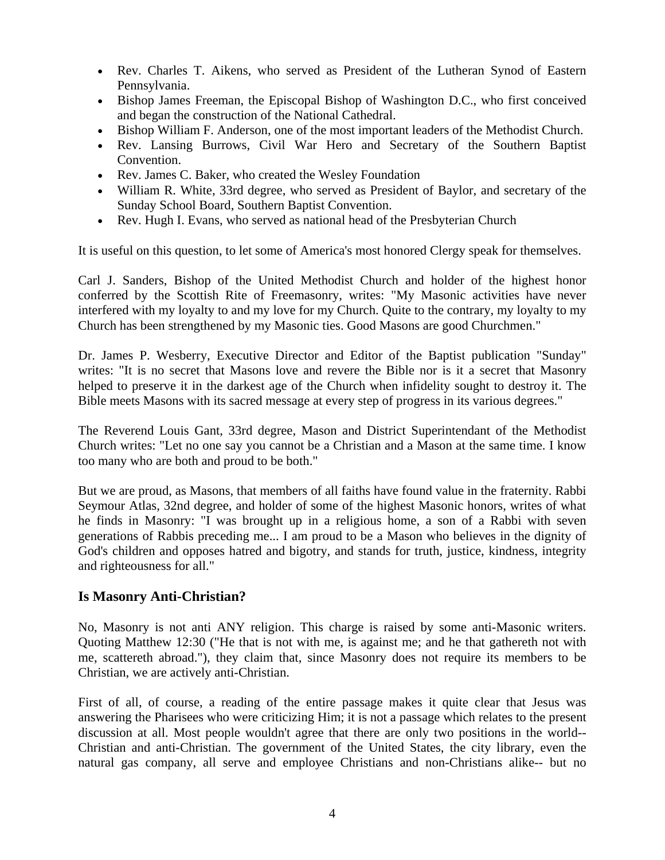- Rev. Charles T. Aikens, who served as President of the Lutheran Synod of Eastern Pennsylvania.
- Bishop James Freeman, the Episcopal Bishop of Washington D.C., who first conceived and began the construction of the National Cathedral.
- Bishop William F. Anderson, one of the most important leaders of the Methodist Church.
- Rev. Lansing Burrows, Civil War Hero and Secretary of the Southern Baptist Convention.
- Rev. James C. Baker, who created the Wesley Foundation
- William R. White, 33rd degree, who served as President of Baylor, and secretary of the Sunday School Board, Southern Baptist Convention.
- Rev. Hugh I. Evans, who served as national head of the Presbyterian Church

It is useful on this question, to let some of America's most honored Clergy speak for themselves.

Carl J. Sanders, Bishop of the United Methodist Church and holder of the highest honor conferred by the Scottish Rite of Freemasonry, writes: "My Masonic activities have never interfered with my loyalty to and my love for my Church. Quite to the contrary, my loyalty to my Church has been strengthened by my Masonic ties. Good Masons are good Churchmen."

Dr. James P. Wesberry, Executive Director and Editor of the Baptist publication "Sunday" writes: "It is no secret that Masons love and revere the Bible nor is it a secret that Masonry helped to preserve it in the darkest age of the Church when infidelity sought to destroy it. The Bible meets Masons with its sacred message at every step of progress in its various degrees."

The Reverend Louis Gant, 33rd degree, Mason and District Superintendant of the Methodist Church writes: "Let no one say you cannot be a Christian and a Mason at the same time. I know too many who are both and proud to be both."

But we are proud, as Masons, that members of all faiths have found value in the fraternity. Rabbi Seymour Atlas, 32nd degree, and holder of some of the highest Masonic honors, writes of what he finds in Masonry: "I was brought up in a religious home, a son of a Rabbi with seven generations of Rabbis preceding me... I am proud to be a Mason who believes in the dignity of God's children and opposes hatred and bigotry, and stands for truth, justice, kindness, integrity and righteousness for all."

#### **Is Masonry Anti-Christian?**

No, Masonry is not anti ANY religion. This charge is raised by some anti-Masonic writers. Quoting Matthew 12:30 ("He that is not with me, is against me; and he that gathereth not with me, scattereth abroad."), they claim that, since Masonry does not require its members to be Christian, we are actively anti-Christian.

First of all, of course, a reading of the entire passage makes it quite clear that Jesus was answering the Pharisees who were criticizing Him; it is not a passage which relates to the present discussion at all. Most people wouldn't agree that there are only two positions in the world-- Christian and anti-Christian. The government of the United States, the city library, even the natural gas company, all serve and employee Christians and non-Christians alike-- but no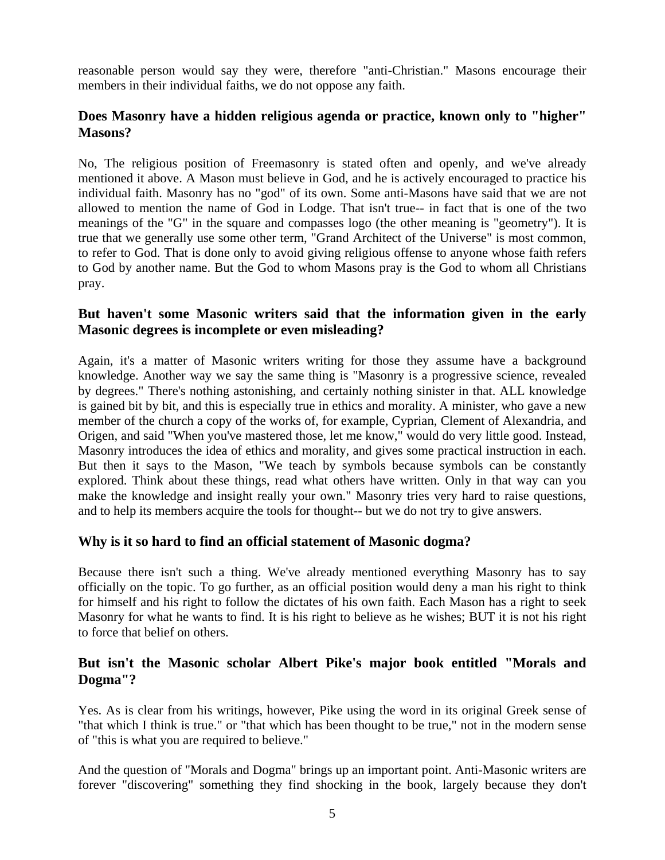reasonable person would say they were, therefore "anti-Christian." Masons encourage their members in their individual faiths, we do not oppose any faith.

## **Does Masonry have a hidden religious agenda or practice, known only to "higher" Masons?**

No, The religious position of Freemasonry is stated often and openly, and we've already mentioned it above. A Mason must believe in God, and he is actively encouraged to practice his individual faith. Masonry has no "god" of its own. Some anti-Masons have said that we are not allowed to mention the name of God in Lodge. That isn't true-- in fact that is one of the two meanings of the "G" in the square and compasses logo (the other meaning is "geometry"). It is true that we generally use some other term, "Grand Architect of the Universe" is most common, to refer to God. That is done only to avoid giving religious offense to anyone whose faith refers to God by another name. But the God to whom Masons pray is the God to whom all Christians pray.

## **But haven't some Masonic writers said that the information given in the early Masonic degrees is incomplete or even misleading?**

Again, it's a matter of Masonic writers writing for those they assume have a background knowledge. Another way we say the same thing is "Masonry is a progressive science, revealed by degrees." There's nothing astonishing, and certainly nothing sinister in that. ALL knowledge is gained bit by bit, and this is especially true in ethics and morality. A minister, who gave a new member of the church a copy of the works of, for example, Cyprian, Clement of Alexandria, and Origen, and said "When you've mastered those, let me know," would do very little good. Instead, Masonry introduces the idea of ethics and morality, and gives some practical instruction in each. But then it says to the Mason, "We teach by symbols because symbols can be constantly explored. Think about these things, read what others have written. Only in that way can you make the knowledge and insight really your own." Masonry tries very hard to raise questions, and to help its members acquire the tools for thought-- but we do not try to give answers.

# **Why is it so hard to find an official statement of Masonic dogma?**

Because there isn't such a thing. We've already mentioned everything Masonry has to say officially on the topic. To go further, as an official position would deny a man his right to think for himself and his right to follow the dictates of his own faith. Each Mason has a right to seek Masonry for what he wants to find. It is his right to believe as he wishes; BUT it is not his right to force that belief on others.

## **But isn't the Masonic scholar Albert Pike's major book entitled "Morals and Dogma"?**

Yes. As is clear from his writings, however, Pike using the word in its original Greek sense of "that which I think is true." or "that which has been thought to be true," not in the modern sense of "this is what you are required to believe."

And the question of "Morals and Dogma" brings up an important point. Anti-Masonic writers are forever "discovering" something they find shocking in the book, largely because they don't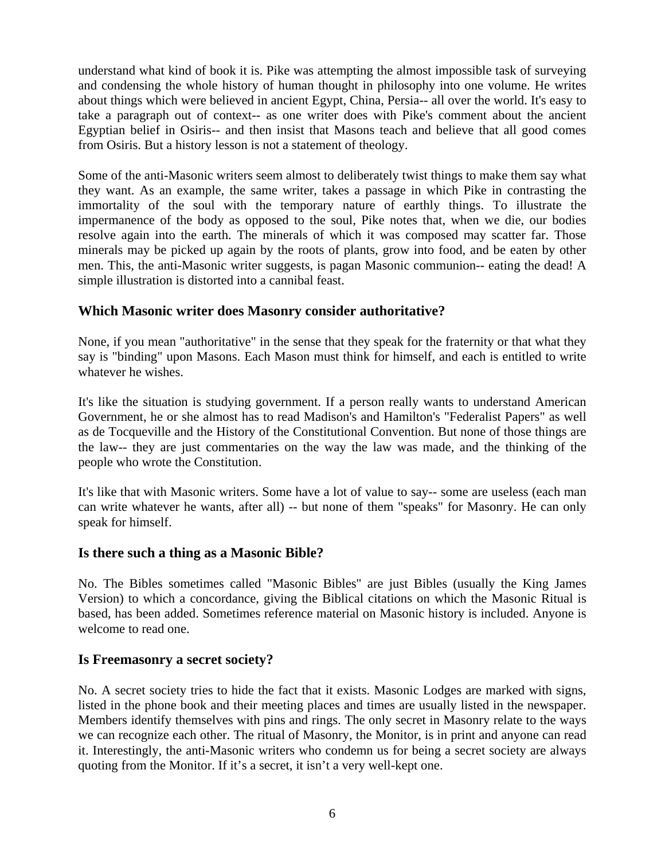understand what kind of book it is. Pike was attempting the almost impossible task of surveying and condensing the whole history of human thought in philosophy into one volume. He writes about things which were believed in ancient Egypt, China, Persia-- all over the world. It's easy to take a paragraph out of context-- as one writer does with Pike's comment about the ancient Egyptian belief in Osiris-- and then insist that Masons teach and believe that all good comes from Osiris. But a history lesson is not a statement of theology.

Some of the anti-Masonic writers seem almost to deliberately twist things to make them say what they want. As an example, the same writer, takes a passage in which Pike in contrasting the immortality of the soul with the temporary nature of earthly things. To illustrate the impermanence of the body as opposed to the soul, Pike notes that, when we die, our bodies resolve again into the earth. The minerals of which it was composed may scatter far. Those minerals may be picked up again by the roots of plants, grow into food, and be eaten by other men. This, the anti-Masonic writer suggests, is pagan Masonic communion-- eating the dead! A simple illustration is distorted into a cannibal feast.

## **Which Masonic writer does Masonry consider authoritative?**

None, if you mean "authoritative" in the sense that they speak for the fraternity or that what they say is "binding" upon Masons. Each Mason must think for himself, and each is entitled to write whatever he wishes.

It's like the situation is studying government. If a person really wants to understand American Government, he or she almost has to read Madison's and Hamilton's "Federalist Papers" as well as de Tocqueville and the History of the Constitutional Convention. But none of those things are the law-- they are just commentaries on the way the law was made, and the thinking of the people who wrote the Constitution.

It's like that with Masonic writers. Some have a lot of value to say-- some are useless (each man can write whatever he wants, after all) -- but none of them "speaks" for Masonry. He can only speak for himself.

#### **Is there such a thing as a Masonic Bible?**

No. The Bibles sometimes called "Masonic Bibles" are just Bibles (usually the King James Version) to which a concordance, giving the Biblical citations on which the Masonic Ritual is based, has been added. Sometimes reference material on Masonic history is included. Anyone is welcome to read one.

#### **Is Freemasonry a secret society?**

No. A secret society tries to hide the fact that it exists. Masonic Lodges are marked with signs, listed in the phone book and their meeting places and times are usually listed in the newspaper. Members identify themselves with pins and rings. The only secret in Masonry relate to the ways we can recognize each other. The ritual of Masonry, the Monitor, is in print and anyone can read it. Interestingly, the anti-Masonic writers who condemn us for being a secret society are always quoting from the Monitor. If it's a secret, it isn't a very well-kept one.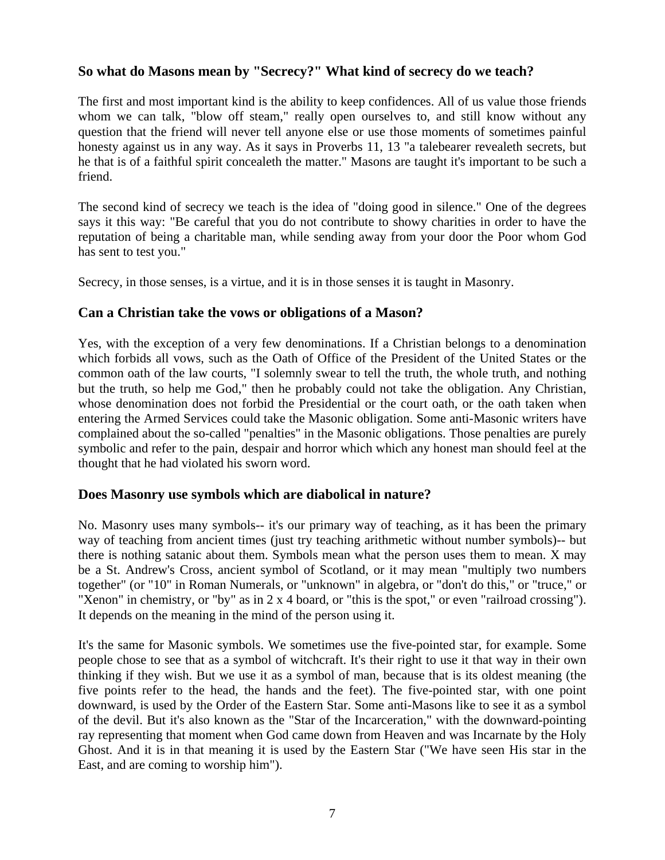#### **So what do Masons mean by "Secrecy?" What kind of secrecy do we teach?**

The first and most important kind is the ability to keep confidences. All of us value those friends whom we can talk, "blow off steam," really open ourselves to, and still know without any question that the friend will never tell anyone else or use those moments of sometimes painful honesty against us in any way. As it says in Proverbs 11, 13 "a talebearer revealeth secrets, but he that is of a faithful spirit concealeth the matter." Masons are taught it's important to be such a friend.

The second kind of secrecy we teach is the idea of "doing good in silence." One of the degrees says it this way: "Be careful that you do not contribute to showy charities in order to have the reputation of being a charitable man, while sending away from your door the Poor whom God has sent to test you."

Secrecy, in those senses, is a virtue, and it is in those senses it is taught in Masonry.

## **Can a Christian take the vows or obligations of a Mason?**

Yes, with the exception of a very few denominations. If a Christian belongs to a denomination which forbids all vows, such as the Oath of Office of the President of the United States or the common oath of the law courts, "I solemnly swear to tell the truth, the whole truth, and nothing but the truth, so help me God," then he probably could not take the obligation. Any Christian, whose denomination does not forbid the Presidential or the court oath, or the oath taken when entering the Armed Services could take the Masonic obligation. Some anti-Masonic writers have complained about the so-called "penalties" in the Masonic obligations. Those penalties are purely symbolic and refer to the pain, despair and horror which which any honest man should feel at the thought that he had violated his sworn word.

#### **Does Masonry use symbols which are diabolical in nature?**

No. Masonry uses many symbols-- it's our primary way of teaching, as it has been the primary way of teaching from ancient times (just try teaching arithmetic without number symbols)-- but there is nothing satanic about them. Symbols mean what the person uses them to mean. X may be a St. Andrew's Cross, ancient symbol of Scotland, or it may mean "multiply two numbers together" (or "10" in Roman Numerals, or "unknown" in algebra, or "don't do this," or "truce," or "Xenon" in chemistry, or "by" as in 2 x 4 board, or "this is the spot," or even "railroad crossing"). It depends on the meaning in the mind of the person using it.

It's the same for Masonic symbols. We sometimes use the five-pointed star, for example. Some people chose to see that as a symbol of witchcraft. It's their right to use it that way in their own thinking if they wish. But we use it as a symbol of man, because that is its oldest meaning (the five points refer to the head, the hands and the feet). The five-pointed star, with one point downward, is used by the Order of the Eastern Star. Some anti-Masons like to see it as a symbol of the devil. But it's also known as the "Star of the Incarceration," with the downward-pointing ray representing that moment when God came down from Heaven and was Incarnate by the Holy Ghost. And it is in that meaning it is used by the Eastern Star ("We have seen His star in the East, and are coming to worship him").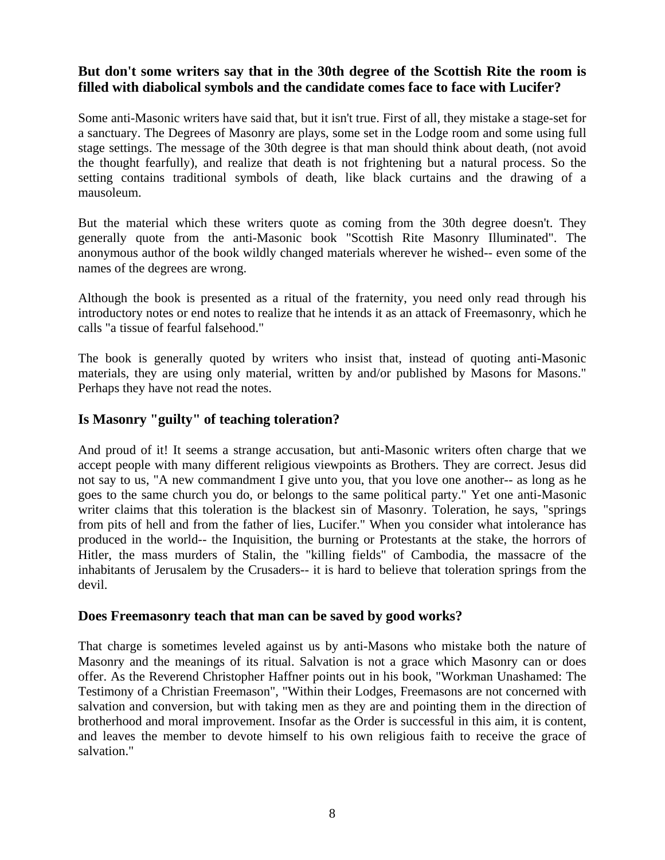# **But don't some writers say that in the 30th degree of the Scottish Rite the room is filled with diabolical symbols and the candidate comes face to face with Lucifer?**

Some anti-Masonic writers have said that, but it isn't true. First of all, they mistake a stage-set for a sanctuary. The Degrees of Masonry are plays, some set in the Lodge room and some using full stage settings. The message of the 30th degree is that man should think about death, (not avoid the thought fearfully), and realize that death is not frightening but a natural process. So the setting contains traditional symbols of death, like black curtains and the drawing of a mausoleum.

But the material which these writers quote as coming from the 30th degree doesn't. They generally quote from the anti-Masonic book "Scottish Rite Masonry Illuminated". The anonymous author of the book wildly changed materials wherever he wished-- even some of the names of the degrees are wrong.

Although the book is presented as a ritual of the fraternity, you need only read through his introductory notes or end notes to realize that he intends it as an attack of Freemasonry, which he calls "a tissue of fearful falsehood."

The book is generally quoted by writers who insist that, instead of quoting anti-Masonic materials, they are using only material, written by and/or published by Masons for Masons." Perhaps they have not read the notes.

# **Is Masonry "guilty" of teaching toleration?**

And proud of it! It seems a strange accusation, but anti-Masonic writers often charge that we accept people with many different religious viewpoints as Brothers. They are correct. Jesus did not say to us, "A new commandment I give unto you, that you love one another-- as long as he goes to the same church you do, or belongs to the same political party." Yet one anti-Masonic writer claims that this toleration is the blackest sin of Masonry. Toleration, he says, "springs from pits of hell and from the father of lies, Lucifer." When you consider what intolerance has produced in the world-- the Inquisition, the burning or Protestants at the stake, the horrors of Hitler, the mass murders of Stalin, the "killing fields" of Cambodia, the massacre of the inhabitants of Jerusalem by the Crusaders-- it is hard to believe that toleration springs from the devil.

#### **Does Freemasonry teach that man can be saved by good works?**

That charge is sometimes leveled against us by anti-Masons who mistake both the nature of Masonry and the meanings of its ritual. Salvation is not a grace which Masonry can or does offer. As the Reverend Christopher Haffner points out in his book, "Workman Unashamed: The Testimony of a Christian Freemason", "Within their Lodges, Freemasons are not concerned with salvation and conversion, but with taking men as they are and pointing them in the direction of brotherhood and moral improvement. Insofar as the Order is successful in this aim, it is content, and leaves the member to devote himself to his own religious faith to receive the grace of salvation."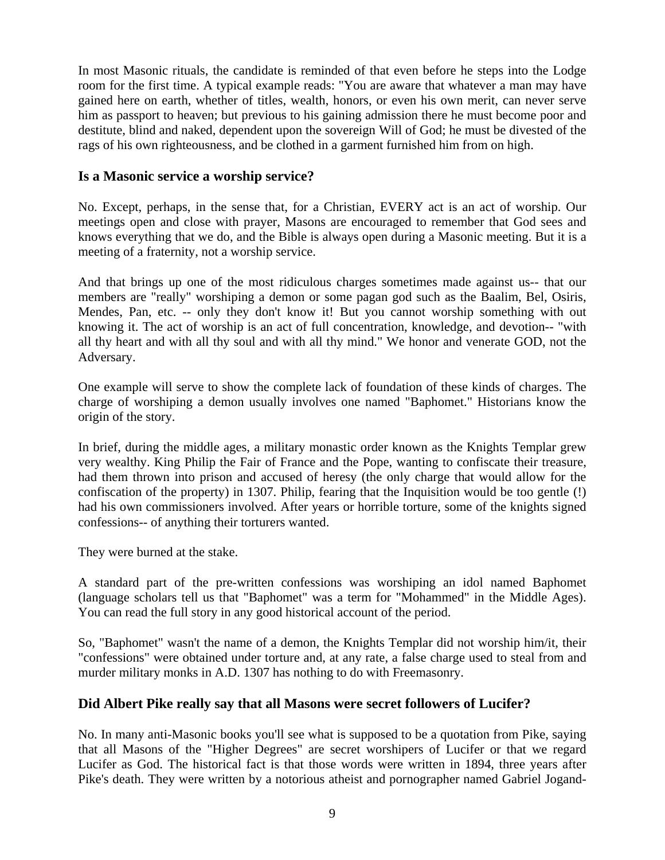In most Masonic rituals, the candidate is reminded of that even before he steps into the Lodge room for the first time. A typical example reads: "You are aware that whatever a man may have gained here on earth, whether of titles, wealth, honors, or even his own merit, can never serve him as passport to heaven; but previous to his gaining admission there he must become poor and destitute, blind and naked, dependent upon the sovereign Will of God; he must be divested of the rags of his own righteousness, and be clothed in a garment furnished him from on high.

#### **Is a Masonic service a worship service?**

No. Except, perhaps, in the sense that, for a Christian, EVERY act is an act of worship. Our meetings open and close with prayer, Masons are encouraged to remember that God sees and knows everything that we do, and the Bible is always open during a Masonic meeting. But it is a meeting of a fraternity, not a worship service.

And that brings up one of the most ridiculous charges sometimes made against us-- that our members are "really" worshiping a demon or some pagan god such as the Baalim, Bel, Osiris, Mendes, Pan, etc. -- only they don't know it! But you cannot worship something with out knowing it. The act of worship is an act of full concentration, knowledge, and devotion-- "with all thy heart and with all thy soul and with all thy mind." We honor and venerate GOD, not the Adversary.

One example will serve to show the complete lack of foundation of these kinds of charges. The charge of worshiping a demon usually involves one named "Baphomet." Historians know the origin of the story.

In brief, during the middle ages, a military monastic order known as the Knights Templar grew very wealthy. King Philip the Fair of France and the Pope, wanting to confiscate their treasure, had them thrown into prison and accused of heresy (the only charge that would allow for the confiscation of the property) in 1307. Philip, fearing that the Inquisition would be too gentle (!) had his own commissioners involved. After years or horrible torture, some of the knights signed confessions-- of anything their torturers wanted.

They were burned at the stake.

A standard part of the pre-written confessions was worshiping an idol named Baphomet (language scholars tell us that "Baphomet" was a term for "Mohammed" in the Middle Ages). You can read the full story in any good historical account of the period.

So, "Baphomet" wasn't the name of a demon, the Knights Templar did not worship him/it, their "confessions" were obtained under torture and, at any rate, a false charge used to steal from and murder military monks in A.D. 1307 has nothing to do with Freemasonry.

# **Did Albert Pike really say that all Masons were secret followers of Lucifer?**

No. In many anti-Masonic books you'll see what is supposed to be a quotation from Pike, saying that all Masons of the "Higher Degrees" are secret worshipers of Lucifer or that we regard Lucifer as God. The historical fact is that those words were written in 1894, three years after Pike's death. They were written by a notorious atheist and pornographer named Gabriel Jogand